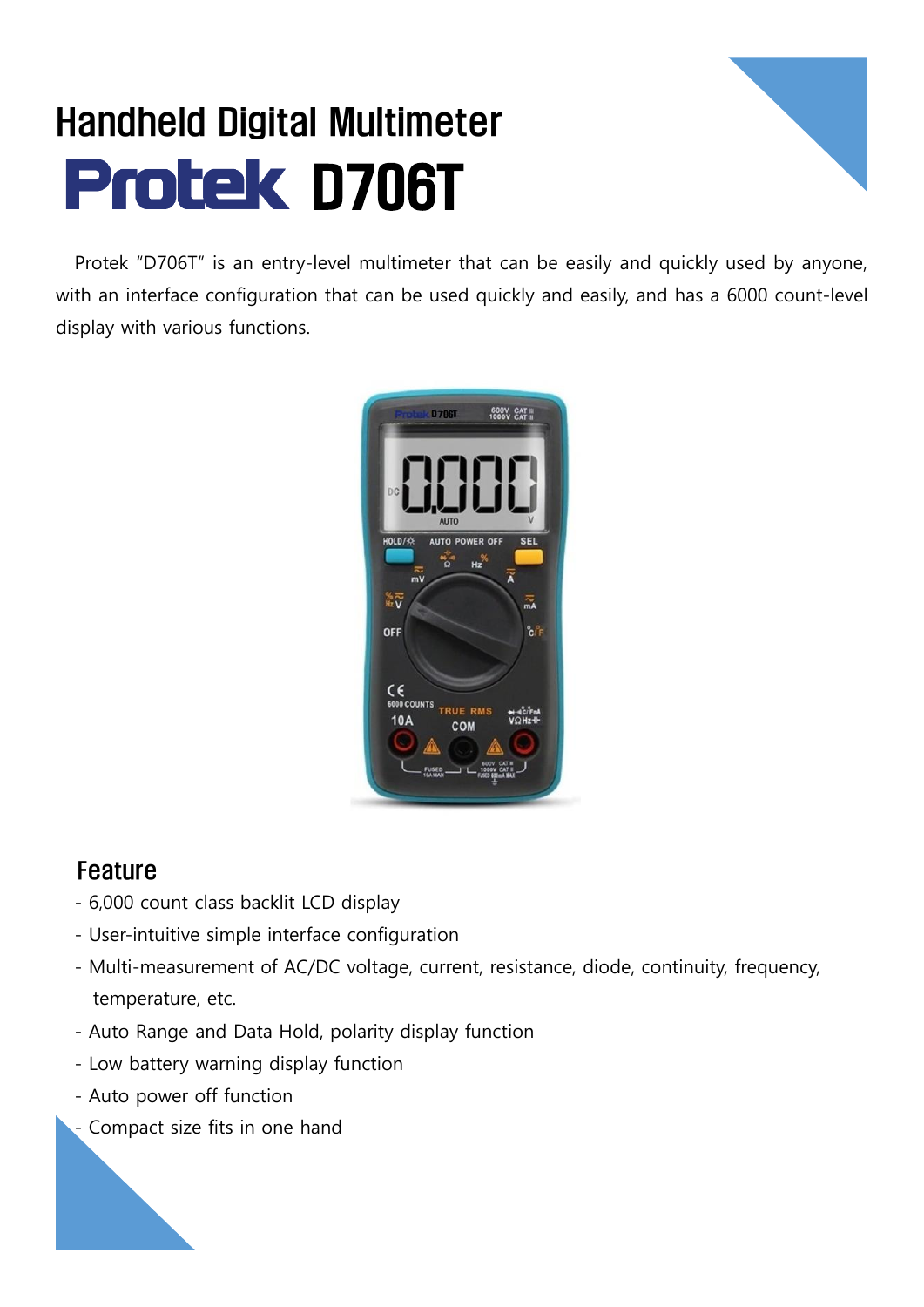## Handheld Digital Multimeter **Protek D706T**



Protek "D706T" is an entry-level multimeter that can be easily and quickly used by anyone, with an interface configuration that can be used quickly and easily, and has a 6000 count-level display with various functions.



## Feature

- 6,000 count class backlit LCD display
- User-intuitive simple interface configuration
- Multi-measurement of AC/DC voltage, current, resistance, diode, continuity, frequency, temperature, etc.
- Auto Range and Data Hold, polarity display function
- Low battery warning display function
- Auto power off function
- Compact size fits in one hand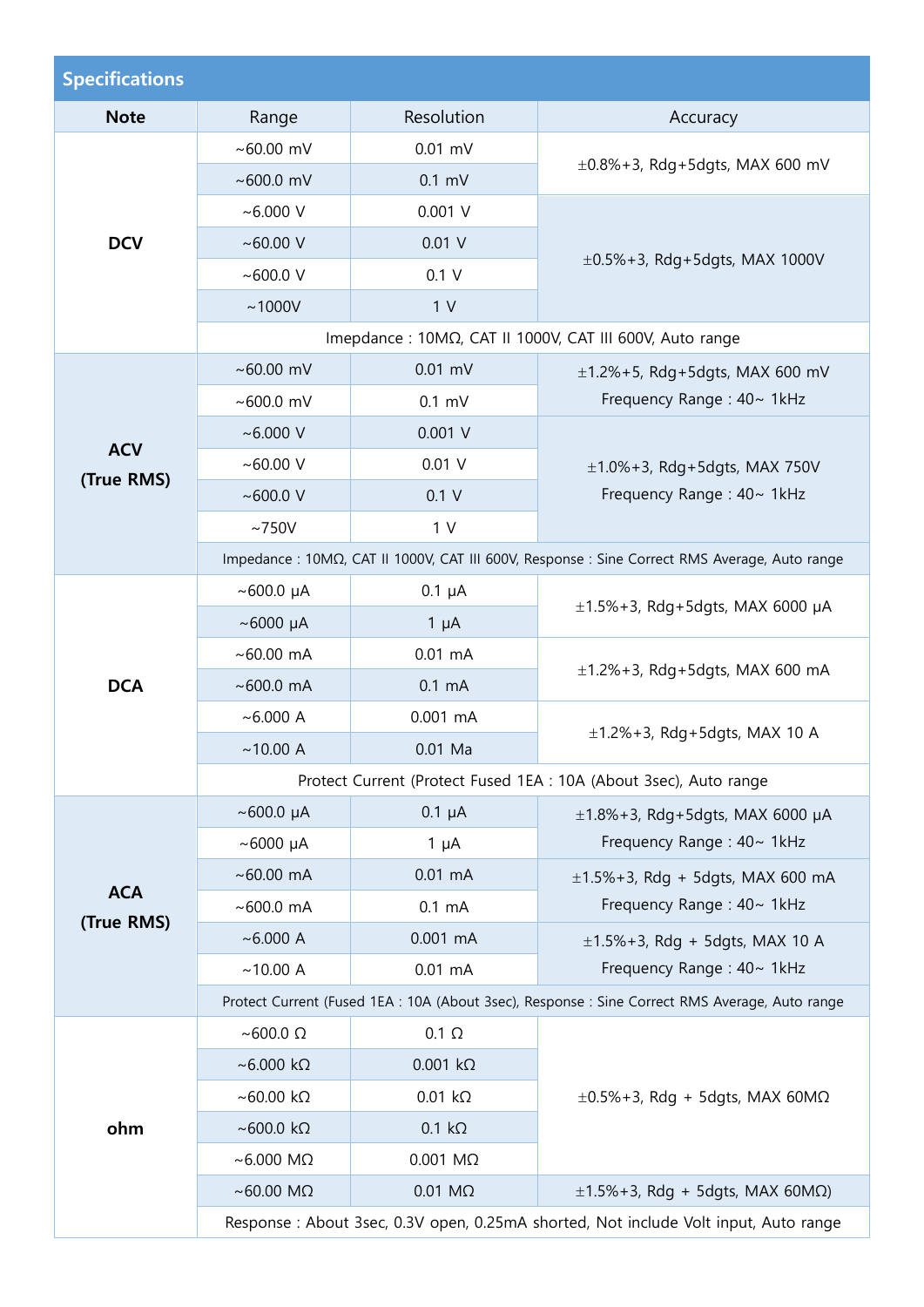| <b>Specifications</b>                                             |                                                                                                |                    |                                                                                               |  |
|-------------------------------------------------------------------|------------------------------------------------------------------------------------------------|--------------------|-----------------------------------------------------------------------------------------------|--|
| <b>Note</b>                                                       | Range                                                                                          | Resolution         | Accuracy                                                                                      |  |
| <b>DCV</b>                                                        | ~100.00~mV                                                                                     | $0.01$ mV          | $\pm 0.8\% + 3$ , Rdg+5dgts, MAX 600 mV                                                       |  |
|                                                                   | ~1000.0~mV                                                                                     | $0.1$ mV           |                                                                                               |  |
|                                                                   | $~6.000$ V                                                                                     | $0.001$ V          | $\pm 0.5\% + 3$ , Rdg+5dgts, MAX 1000V                                                        |  |
|                                                                   | ~100.00~V                                                                                      | $0.01$ V           |                                                                                               |  |
|                                                                   | ~1000.0~V                                                                                      | 0.1 V              |                                                                                               |  |
|                                                                   | ~1000V                                                                                         | 1 <sub>V</sub>     |                                                                                               |  |
|                                                                   | Imepdance : 10ΜΩ, CAT II 1000V, CAT III 600V, Auto range                                       |                    |                                                                                               |  |
| <b>ACV</b><br>(True RMS)                                          | ~100.00~mV                                                                                     | $0.01$ mV          | $\pm$ 1.2%+5, Rdg+5dgts, MAX 600 mV                                                           |  |
|                                                                   | ~100.0~mV                                                                                      | $0.1$ mV           | Frequency Range: 40~ 1kHz                                                                     |  |
|                                                                   | $~6.000$ V                                                                                     | $0.001$ V          |                                                                                               |  |
|                                                                   | ~100.00~V                                                                                      | $0.01$ V           | $\pm 1.0\% + 3$ , Rdg + 5dgts, MAX 750V                                                       |  |
|                                                                   | ~100.0~V                                                                                       | 0.1 V              | Frequency Range: 40~ 1kHz                                                                     |  |
|                                                                   | ~1750V                                                                                         | 1 <sub>V</sub>     |                                                                                               |  |
|                                                                   |                                                                                                |                    | Impedance : 10ΜΩ, CAT II 1000V, CAT III 600V, Response : Sine Correct RMS Average, Auto range |  |
|                                                                   | $~100.0~\mu A$                                                                                 | $0.1 \mu A$        | $\pm$ 1.5%+3, Rdg+5dgts, MAX 6000 µA                                                          |  |
|                                                                   | $~\sim$ 6000 µA                                                                                | $1 \mu A$          |                                                                                               |  |
|                                                                   | $~100.00 \text{ mA}$                                                                           | $0.01$ mA          | $\pm$ 1.2%+3, Rdg+5dgts, MAX 600 mA                                                           |  |
| <b>DCA</b>                                                        | $~100.0$ mA                                                                                    | $0.1 \text{ mA}$   |                                                                                               |  |
|                                                                   | ~6.000 A                                                                                       | $0.001$ mA         | $\pm$ 1.2%+3, Rdg+5dgts, MAX 10 A                                                             |  |
|                                                                   | ~10.00 A                                                                                       | $0.01$ Ma          |                                                                                               |  |
| Protect Current (Protect Fused 1EA : 10A (About 3sec), Auto range |                                                                                                |                    |                                                                                               |  |
|                                                                   | $~500.0~\mu A$                                                                                 | $0.1 \mu A$        | $\pm$ 1.8%+3, Rdg+5dgts, MAX 6000 µA<br>Frequency Range: 40~ 1kHz                             |  |
|                                                                   | $~5000~\mu A$                                                                                  | $1 \mu A$          |                                                                                               |  |
|                                                                   | $~100.00$ mA                                                                                   | $0.01$ mA          | $\pm$ 1.5%+3, Rdg + 5dgts, MAX 600 mA<br>Frequency Range: 40~ 1kHz                            |  |
| <b>ACA</b><br>(True RMS)                                          | $~100.0$ mA                                                                                    | $0.1 \text{ mA}$   |                                                                                               |  |
|                                                                   | ~6.000 A                                                                                       | $0.001$ mA         | $\pm 1.5\% + 3$ , Rdg + 5dgts, MAX 10 A                                                       |  |
|                                                                   | ~10.00 A                                                                                       | $0.01$ mA          | Frequency Range: 40~ 1kHz                                                                     |  |
|                                                                   | Protect Current (Fused 1EA : 10A (About 3sec), Response : Sine Correct RMS Average, Auto range |                    |                                                                                               |  |
|                                                                   | $~\sim$ 600.0 $\Omega$                                                                         | $0.1 \Omega$       | $\pm 0.5\%$ +3, Rdg + 5dgts, MAX 60M $\Omega$                                                 |  |
| ohm                                                               | $~\sim$ 6.000 kΩ                                                                               | $0.001 k\Omega$    |                                                                                               |  |
|                                                                   | $~\sim$ 60.00 kΩ                                                                               | $0.01 k\Omega$     |                                                                                               |  |
|                                                                   | $~\sim$ 600.0 kΩ                                                                               | $0.1 k\Omega$      |                                                                                               |  |
|                                                                   | $~\sim$ 6.000 M $\Omega$                                                                       | $0.001$ M $\Omega$ |                                                                                               |  |
|                                                                   | $~\sim$ 60.00 M $\Omega$                                                                       | $0.01$ M $\Omega$  | $\pm$ 1.5%+3, Rdg + 5dgts, MAX 60M $\Omega$ )                                                 |  |
|                                                                   | Response : About 3sec, 0.3V open, 0.25mA shorted, Not include Volt input, Auto range           |                    |                                                                                               |  |